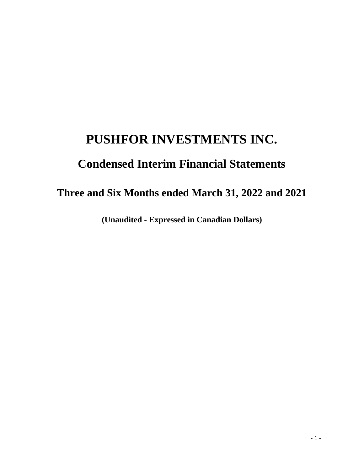# **PUSHFOR INVESTMENTS INC.**

# **Condensed Interim Financial Statements**

# **Three and Six Months ended March 31, 2022 and 2021**

**(Unaudited - Expressed in Canadian Dollars)**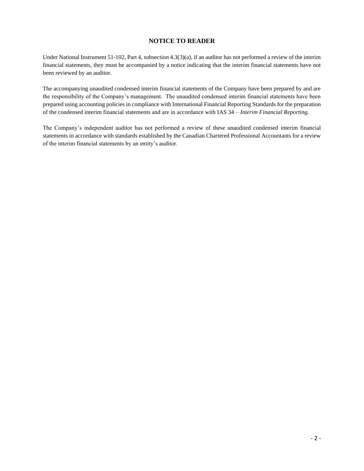### **NOTICE TO READER**

Under National Instrument 51-102, Part 4, subsection 4.3(3)(a), if an auditor has not performed a review of the interim financial statements, they must be accompanied by a notice indicating that the interim financial statements have not been reviewed by an auditor.

The accompanying unaudited condensed interim financial statements of the Company have been prepared by and are the responsibility of the Company's management. The unaudited condensed interim financial statements have been prepared using accounting policies in compliance with International Financial Reporting Standards for the preparation of the condensed interim financial statements and are in accordance with IAS 34 – *Interim Financial Reporting.*

The Company's independent auditor has not performed a review of these unaudited condensed interim financial statements in accordance with standards established by the Canadian Chartered Professional Accountants for a review of the interim financial statements by an entity's auditor.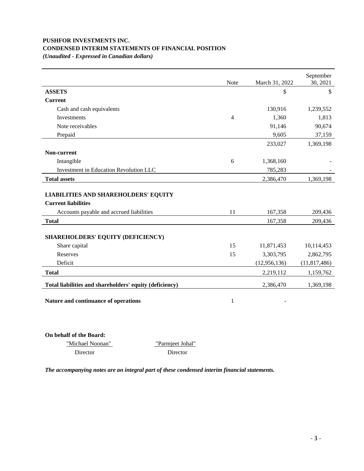# **PUSHFOR INVESTMENTS INC. CONDENSED INTERIM STATEMENTS OF FINANCIAL POSITION**

*(Unaudited - Expressed in Canadian dollars)*

|                                                         |             |                | September      |
|---------------------------------------------------------|-------------|----------------|----------------|
|                                                         | <b>Note</b> | March 31, 2022 | 30, 2021       |
| <b>ASSETS</b>                                           |             | \$             | \$             |
| <b>Current</b>                                          |             |                |                |
| Cash and cash equivalents                               |             | 130,916        | 1,239,552      |
| Investments                                             | 4           | 1,360          | 1,813          |
| Note receivables                                        |             | 91,146         | 90,674         |
| Prepaid                                                 |             | 9,605          | 37,159         |
|                                                         |             | 233,027        | 1,369,198      |
| Non-current                                             |             |                |                |
| Intangible                                              | 6           | 1,368,160      |                |
| Investment in Education Revolution LLC                  |             | 785,283        |                |
| <b>Total assets</b>                                     |             | 2,386,470      | 1,369,198      |
|                                                         |             |                |                |
| <b>LIABILITIES AND SHAREHOLDERS' EQUITY</b>             |             |                |                |
| <b>Current liabilities</b>                              |             |                |                |
| Accounts payable and accrued liabilities                | 11          | 167,358        | 209,436        |
| <b>Total</b>                                            |             | 167,358        | 209,436        |
|                                                         |             |                |                |
| <b>SHAREHOLDERS' EQUITY (DEFICIENCY)</b>                |             |                |                |
| Share capital                                           | 15          | 11,871,453     | 10,114,453     |
| Reserves                                                | 15          | 3,303,795      | 2,862,795      |
| Deficit                                                 |             | (12, 956, 136) | (11, 817, 486) |
| <b>Total</b>                                            |             | 2,219,112      | 1,159,762      |
| Total liabilities and shareholders' equity (deficiency) |             | 2,386,470      | 1,369,198      |
| Nature and continuance of operations                    | 1           |                |                |
|                                                         |             |                |                |

**On behalf of the Board:**

| "Michael Noonan" | "Parmieet Johal" |
|------------------|------------------|
| Director         | Director         |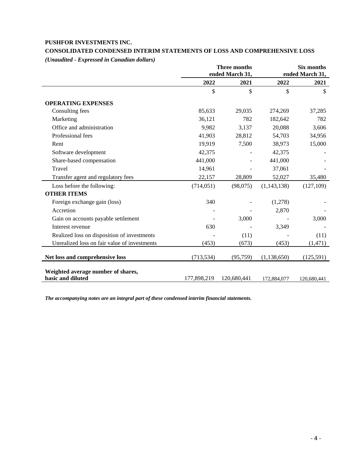### **PUSHFOR INVESTMENTS INC.**

## **CONSOLIDATED CONDENSED INTERIM STATEMENTS OF LOSS AND COMPREHENSIVE LOSS**

*(Unaudited - Expressed in Canadian dollars)*

|                                                         |             | <b>Three months</b><br>ended March 31, |               | <b>Six months</b><br>ended March 31, |
|---------------------------------------------------------|-------------|----------------------------------------|---------------|--------------------------------------|
|                                                         | 2022        | 2021                                   | 2022          | 2021                                 |
|                                                         | \$          | \$                                     | \$            | $\mathbb{S}$                         |
| <b>OPERATING EXPENSES</b>                               |             |                                        |               |                                      |
| Consulting fees                                         | 85,633      | 29,035                                 | 274,269       | 37,285                               |
| Marketing                                               | 36,121      | 782                                    | 182,642       | 782                                  |
| Office and administration                               | 9,982       | 3,137                                  | 20,088        | 3,606                                |
| Professional fees                                       | 41,903      | 28,812                                 | 54,703        | 34,956                               |
| Rent                                                    | 19,919      | 7,500                                  | 38,973        | 15,000                               |
| Software development                                    | 42,375      |                                        | 42,375        |                                      |
| Share-based compensation                                | 441,000     |                                        | 441,000       |                                      |
| Travel                                                  | 14,961      |                                        | 37,061        |                                      |
| Transfer agent and regulatory fees                      | 22,157      | 28,809                                 | 52,027        | 35,480                               |
| Loss before the following:                              | (714, 051)  | (98,075)                               | (1, 143, 138) | (127, 109)                           |
| <b>OTHER ITEMS</b>                                      |             |                                        |               |                                      |
| Foreign exchange gain (loss)                            | 340         |                                        | (1,278)       |                                      |
| Accretion                                               |             |                                        | 2,870         |                                      |
| Gain on accounts payable settlement                     |             | 3,000                                  |               | 3,000                                |
| Interest revenue                                        | 630         |                                        | 3,349         |                                      |
| Realized loss on disposition of investments             |             | (11)                                   |               | (11)                                 |
| Unrealized loss on fair value of investments            | (453)       | (673)                                  | (453)         | (1, 471)                             |
| Net loss and comprehensive loss                         | (713, 534)  | (95, 759)                              | (1, 138, 650) | (125,591)                            |
| Weighted average number of shares,<br>basic and diluted | 177,898,219 | 120,680,441                            | 172,884,077   | 120,680,441                          |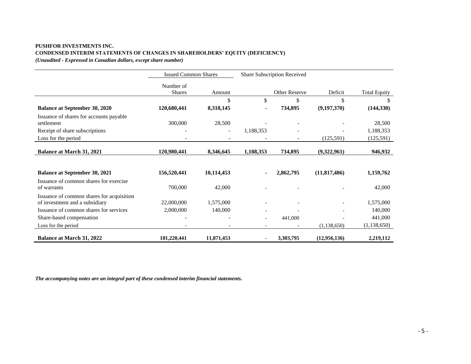#### **PUSHFOR INVESTMENTS INC. CONDENSED INTERIM STATEMENTS OF CHANGES IN SHAREHOLDERS' EQUITY (DEFICIENCY)** *(Unaudited - Expressed in Canadian dollars, except share number)*

|                                                                             | <b>Issued Common Shares</b> |                          | Share Subscription Received |               |                |                     |
|-----------------------------------------------------------------------------|-----------------------------|--------------------------|-----------------------------|---------------|----------------|---------------------|
|                                                                             | Number of<br><b>Shares</b>  | Amount                   |                             | Other Reserve | Deficit        | <b>Total Equity</b> |
|                                                                             |                             | \$                       | \$                          | \$            | \$             | \$                  |
| <b>Balance at September 30, 2020</b>                                        | 120,680,441                 | 8,318,145                | $\blacksquare$              | 734,895       | (9, 197, 370)  | (144, 330)          |
| Issuance of shares for accounts payable<br>settlement                       | 300,000                     | 28,500                   |                             |               |                | 28,500              |
| Receipt of share subscriptions                                              |                             | $\overline{\phantom{a}}$ | 1,188,353                   |               |                | 1,188,353           |
| Loss for the period                                                         |                             |                          |                             |               | (125, 591)     | (125, 591)          |
| <b>Balance at March 31, 2021</b>                                            | 120,980,441                 | 8,346,645                | 1,188,353                   | 734,895       | (9,322,961)    | 946,932             |
| <b>Balance at September 30, 2021</b>                                        | 156,520,441                 | 10,114,453               | $\blacksquare$              | 2,862,795     | (11, 817, 486) | 1,159,762           |
| Issuance of common shares for exercise<br>of warrants                       | 700,000                     | 42,000                   |                             |               |                | 42,000              |
| Issuance of common shares for acquisition<br>of investment and a subsidiary | 22,000,000                  | 1,575,000                |                             |               |                | 1,575,000           |
| Issuance of common shares for services                                      | 2,000,000                   | 140,000                  |                             |               |                | 140,000             |
| Share-based compensation                                                    |                             |                          | $\overline{\phantom{a}}$    | 441,000       |                | 441,000             |
| Loss for the period                                                         |                             |                          | $\overline{\phantom{a}}$    |               | (1, 138, 650)  | (1, 138, 650)       |
| <b>Balance at March 31, 2022</b>                                            | 181,220,441                 | 11,871,453               | ۰                           | 3,303,795     | (12,956,136)   | 2,219,112           |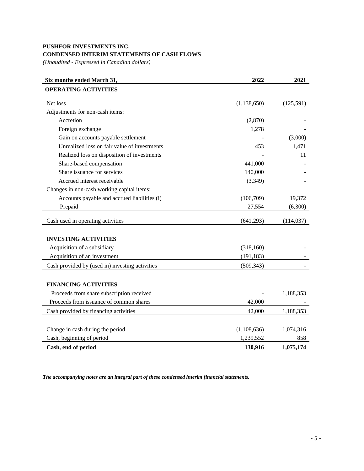# **PUSHFOR INVESTMENTS INC. CONDENSED INTERIM STATEMENTS OF CASH FLOWS**

*(Unaudited - Expressed in Canadian dollars)*

| Six months ended March 31,                      | 2022          | 2021       |
|-------------------------------------------------|---------------|------------|
| <b>OPERATING ACTIVITIES</b>                     |               |            |
| Net loss                                        | (1, 138, 650) | (125,591)  |
| Adjustments for non-cash items:                 |               |            |
| Accretion                                       | (2,870)       |            |
| Foreign exchange                                | 1,278         |            |
| Gain on accounts payable settlement             |               | (3,000)    |
| Unrealized loss on fair value of investments    | 453           | 1,471      |
| Realized loss on disposition of investments     |               | 11         |
| Share-based compensation                        | 441,000       |            |
| Share issuance for services                     | 140,000       |            |
| Accrued interest receivable                     | (3,349)       |            |
| Changes in non-cash working capital items:      |               |            |
| Accounts payable and accrued liabilities (i)    | (106,709)     | 19,372     |
| Prepaid                                         | 27,554        | (6,300)    |
| Cash used in operating activities               | (641, 293)    | (114, 037) |
|                                                 |               |            |
| <b>INVESTING ACTIVITIES</b>                     |               |            |
| Acquisition of a subsidiary                     | (318, 160)    |            |
| Acquisition of an investment                    | (191, 183)    |            |
| Cash provided by (used in) investing activities | (509, 343)    |            |
|                                                 |               |            |
| <b>FINANCING ACTIVITIES</b>                     |               |            |
| Proceeds from share subscription received       |               | 1,188,353  |
| Proceeds from issuance of common shares         | 42,000        |            |
| Cash provided by financing activities           | 42,000        | 1,188,353  |
|                                                 |               |            |
| Change in cash during the period                | (1,108,636)   | 1,074,316  |
| Cash, beginning of period                       | 1,239,552     | 858        |
| Cash, end of period                             | 130,916       | 1,075,174  |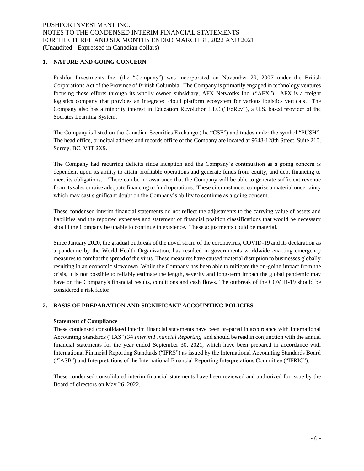#### **1. NATURE AND GOING CONCERN**

Pushfor Investments Inc. (the "Company") was incorporated on November 29, 2007 under the British Corporations Act of the Province of British Columbia. The Company is primarily engaged in technology ventures focusing those efforts through its wholly owned subsidiary, AFX Networks Inc. ("AFX"). AFX is a freight logistics company that provides an integrated cloud platform ecosystem for various logistics verticals. The Company also has a minority interest in Education Revolution LLC ("EdRev"), a U.S. based provider of the Socrates Learning System.

The Company is listed on the Canadian Securities Exchange (the "CSE") and trades under the symbol "PUSH". The head office, principal address and records office of the Company are located at 9648-128th Street, Suite 210, Surrey, BC, V3T 2X9.

The Company had recurring deficits since inception and the Company's continuation as a going concern is dependent upon its ability to attain profitable operations and generate funds from equity, and debt financing to meet its obligations. There can be no assurance that the Company will be able to generate sufficient revenue from its sales or raise adequate financing to fund operations. These circumstances comprise a material uncertainty which may cast significant doubt on the Company's ability to continue as a going concern.

These condensed interim financial statements do not reflect the adjustments to the carrying value of assets and liabilities and the reported expenses and statement of financial position classifications that would be necessary should the Company be unable to continue in existence. These adjustments could be material.

Since January 2020, the gradual outbreak of the novel strain of the coronavirus, COVID-19 and its declaration as a pandemic by the World Health Organization, has resulted in governments worldwide enacting emergency measures to combat the spread of the virus. These measures have caused material disruption to businesses globally resulting in an economic slowdown. While the Company has been able to mitigate the on-going impact from the crisis, it is not possible to reliably estimate the length, severity and long-term impact the global pandemic may have on the Company's financial results, conditions and cash flows. The outbreak of the COVID-19 should be considered a risk factor.

#### **2. BASIS OF PREPARATION AND SIGNIFICANT ACCOUNTING POLICIES**

#### **Statement of Compliance**

These condensed consolidated interim financial statements have been prepared in accordance with International Accounting Standards ("IAS") 34 *Interim Financial Reporting* and should be read in conjunction with the annual financial statements for the year ended September 30, 2021, which have been prepared in accordance with International Financial Reporting Standards ("IFRS") as issued by the International Accounting Standards Board ("IASB") and Interpretations of the International Financial Reporting Interpretations Committee ("IFRIC").

These condensed consolidated interim financial statements have been reviewed and authorized for issue by the Board of directors on May 26, 2022.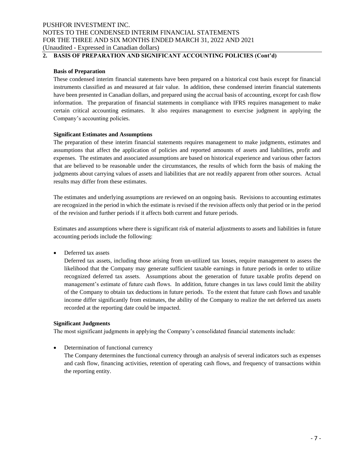# **2. BASIS OF PREPARATION AND SIGNIFICANT ACCOUNTING POLICIES (Cont'd)**

#### **Basis of Preparation**

These condensed interim financial statements have been prepared on a historical cost basis except for financial instruments classified as and measured at fair value. In addition, these condensed interim financial statements have been presented in Canadian dollars, and prepared using the accrual basis of accounting, except for cash flow information. The preparation of financial statements in compliance with IFRS requires management to make certain critical accounting estimates. It also requires management to exercise judgment in applying the Company's accounting policies.

#### **Significant Estimates and Assumptions**

The preparation of these interim financial statements requires management to make judgments, estimates and assumptions that affect the application of policies and reported amounts of assets and liabilities, profit and expenses. The estimates and associated assumptions are based on historical experience and various other factors that are believed to be reasonable under the circumstances, the results of which form the basis of making the judgments about carrying values of assets and liabilities that are not readily apparent from other sources. Actual results may differ from these estimates.

The estimates and underlying assumptions are reviewed on an ongoing basis. Revisions to accounting estimates are recognized in the period in which the estimate is revised if the revision affects only that period or in the period of the revision and further periods if it affects both current and future periods.

Estimates and assumptions where there is significant risk of material adjustments to assets and liabilities in future accounting periods include the following:

• Deferred tax assets

Deferred tax assets, including those arising from un-utilized tax losses, require management to assess the likelihood that the Company may generate sufficient taxable earnings in future periods in order to utilize recognized deferred tax assets. Assumptions about the generation of future taxable profits depend on management's estimate of future cash flows. In addition, future changes in tax laws could limit the ability of the Company to obtain tax deductions in future periods. To the extent that future cash flows and taxable income differ significantly from estimates, the ability of the Company to realize the net deferred tax assets recorded at the reporting date could be impacted.

#### **Significant Judgments**

The most significant judgments in applying the Company's consolidated financial statements include:

• Determination of functional currency

The Company determines the functional currency through an analysis of several indicators such as expenses and cash flow, financing activities, retention of operating cash flows, and frequency of transactions within the reporting entity.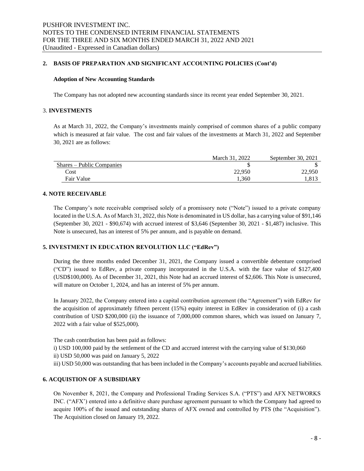#### **2. BASIS OF PREPARATION AND SIGNIFICANT ACCOUNTING POLICIES (Cont'd)**

#### **Adoption of New Accounting Standards**

The Company has not adopted new accounting standards since its recent year ended September 30, 2021.

#### 3. **INVESTMENTS**

As at March 31, 2022, the Company's investments mainly comprised of common shares of a public company which is measured at fair value. The cost and fair values of the investments at March 31, 2022 and September 30, 2021 are as follows:

|                           | March 31, 2022 | September 30, 2021 |
|---------------------------|----------------|--------------------|
| Shares – Public Companies |                |                    |
| Cost                      | 22,950         | 22,950             |
| Fair Value                | .360           | 1,813              |

#### **4. NOTE RECEIVABLE**

The Company's note receivable comprised solely of a promissory note ("Note") issued to a private company located in the U.S.A. As of March 31, 2022, this Note is denominated in US dollar, has a carrying value of \$91,146 (September 30, 2021 - \$90,674) with accrued interest of \$3,646 (September 30, 2021 - \$1,487) inclusive. This Note is unsecured, has an interest of 5% per annum, and is payable on demand.

#### **5. INVESTMENT IN EDUCATION REVOLUTION LLC ("EdRev")**

During the three months ended December 31, 2021, the Company issued a convertible debenture comprised ("CD") issued to EdRev, a private company incorporated in the U.S.A. with the face value of \$127,400 (USD\$100,000). As of December 31, 2021, this Note had an accrued interest of \$2,606. This Note is unsecured, will mature on October 1, 2024, and has an interest of 5% per annum.

In January 2022, the Company entered into a capital contribution agreement (the "Agreement") with EdRev for the acquisition of approximately fifteen percent (15%) equity interest in EdRev in consideration of (i) a cash contribution of USD \$200,000 (ii) the issuance of 7,000,000 common shares, which was issued on January 7, 2022 with a fair value of \$525,000).

The cash contribution has been paid as follows:

- i) USD 100,000 paid by the settlement of the CD and accrued interest with the carrying value of \$130,060
- ii) USD 50,000 was paid on January 5, 2022
- iii) USD 50,000 was outstanding that has been included in the Company's accounts payable and accrued liabilities.

#### **6. ACQUISTION OF A SUBSIDIARY**

On November 8, 2021, the Company and Professional Trading Services S.A. ("PTS") and AFX NETWORKS INC. ("AFX') entered into a definitive share purchase agreement pursuant to which the Company had agreed to acquire 100% of the issued and outstanding shares of AFX owned and controlled by PTS (the "Acquisition"). The Acquisition closed on January 19, 2022.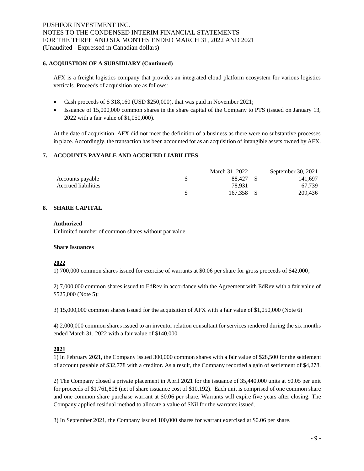#### **6. ACQUISTION OF A SUBSIDIARY (Continued)**

AFX is a freight logistics company that provides an integrated cloud platform ecosystem for various logistics verticals. Proceeds of acquisition are as follows:

- Cash proceeds of \$ 318,160 (USD \$250,000), that was paid in November 2021;
- Issuance of 15,000,000 common shares in the share capital of the Company to PTS (issued on January 13, 2022 with a fair value of \$1,050,000).

At the date of acquisition, AFX did not meet the definition of a business as there were no substantive processes in place. Accordingly, the transaction has been accounted for as an acquisition of intangible assets owned by AFX.

#### **7. ACCOUNTS PAYABLE AND ACCRUED LIABILITES**

|                            | March 31, 2022 | September 30, 2021 |
|----------------------------|----------------|--------------------|
| Accounts payable           | 88,427         | 141.697            |
| <b>Accrued liabilities</b> | 78.931         | 67.73°             |
|                            | 167.358        | 209,436            |

#### **8. SHARE CAPITAL**

#### **Authorized**

Unlimited number of common shares without par value.

#### **Share Issuances**

#### **2022**

1) 700,000 common shares issued for exercise of warrants at \$0.06 per share for gross proceeds of \$42,000;

2) 7,000,000 common shares issued to EdRev in accordance with the Agreement with EdRev with a fair value of \$525,000 (Note 5);

3) 15,000,000 common shares issued for the acquisition of AFX with a fair value of \$1,050,000 (Note 6)

4) 2,000,000 common shares issued to an inventor relation consultant for services rendered during the six months ended March 31, 2022 with a fair value of \$140,000.

#### **2021**

1) In February 2021, the Company issued 300,000 common shares with a fair value of \$28,500 for the settlement of account payable of \$32,778 with a creditor. As a result, the Company recorded a gain of settlement of \$4,278.

2) The Company closed a private placement in April 2021 for the issuance of 35,440,000 units at \$0.05 per unit for proceeds of \$1,761,808 (net of share issuance cost of \$10,192). Each unit is comprised of one common share and one common share purchase warrant at \$0.06 per share. Warrants will expire five years after closing. The Company applied residual method to allocate a value of \$Nil for the warrants issued.

3) In September 2021, the Company issued 100,000 shares for warrant exercised at \$0.06 per share.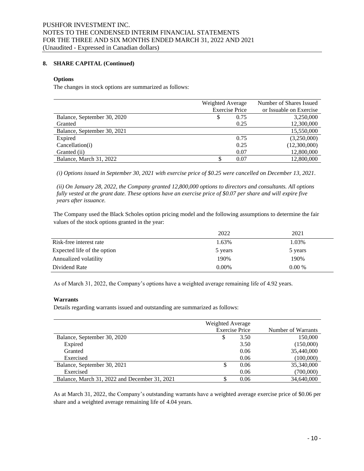#### **8. SHARE CAPITAL (Continued)**

#### **Options**

The changes in stock options are summarized as follows:

|                             | Weighted Average      | Number of Shares Issued |
|-----------------------------|-----------------------|-------------------------|
|                             | <b>Exercise Price</b> | or Issuable on Exercise |
| Balance, September 30, 2020 | 0.75<br>\$            | 3,250,000               |
| Granted                     | 0.25                  | 12,300,000              |
| Balance, September 30, 2021 |                       | 15,550,000              |
| Expired                     | 0.75                  | (3,250,000)             |
| Cancellation(i)             | 0.25                  | (12,300,000)            |
| Granted (ii)                | 0.07                  | 12,800,000              |
| Balance, March 31, 2022     | 0.07<br>S             | 12,800,000              |

*(i) Options issued in September 30, 2021 with exercise price of \$0.25 were cancelled on December 13, 2021.* 

*(ii) On January 28, 2022, the Company granted 12,800,000 options to directors and consultants. All options fully vested at the grant date. These options have an exercise price of \$0.07 per share and will expire five years after issuance.*

The Company used the Black Scholes option pricing model and the following assumptions to determine the fair values of the stock options granted in the year:

|                             | 2022     | 2021     |
|-----------------------------|----------|----------|
| Risk-free interest rate     | 1.63%    | 1.03%    |
| Expected life of the option | 5 years  | 5 years  |
| Annualized volatility       | 190%     | 190%     |
| Dividend Rate               | $0.00\%$ | $0.00\%$ |

As of March 31, 2022, the Company's options have a weighted average remaining life of 4.92 years.

#### **Warrants**

Details regarding warrants issued and outstanding are summarized as follows:

|                                               | Weighted Average      |      |                    |
|-----------------------------------------------|-----------------------|------|--------------------|
|                                               | <b>Exercise Price</b> |      | Number of Warrants |
| Balance, September 30, 2020                   | J                     | 3.50 | 150,000            |
| Expired                                       |                       | 3.50 | (150,000)          |
| Granted                                       |                       | 0.06 | 35,440,000         |
| Exercised                                     |                       | 0.06 | (100,000)          |
| Balance, September 30, 2021                   | S                     | 0.06 | 35,340,000         |
| Exercised                                     |                       | 0.06 | (700,000)          |
| Balance, March 31, 2022 and December 31, 2021 |                       | 0.06 | 34,640,000         |

As at March 31, 2022, the Company's outstanding warrants have a weighted average exercise price of \$0.06 per share and a weighted average remaining life of 4.04 years.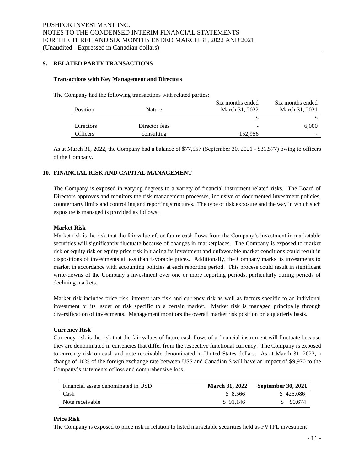#### **9. RELATED PARTY TRANSACTIONS**

#### **Transactions with Key Management and Directors**

The Company had the following transactions with related parties:

|                  |               | Six months ended | Six months ended |
|------------------|---------------|------------------|------------------|
| <b>Position</b>  | Nature        | March 31, 2022   | March 31, 2021   |
|                  |               |                  |                  |
| <b>Directors</b> | Director fees | -                | 6,000            |
| Officers         | consulting    | 152.956          | -                |

As at March 31, 2022, the Company had a balance of \$77,557 (September 30, 2021 - \$31,577) owing to officers of the Company.

#### **10. FINANCIAL RISK AND CAPITAL MANAGEMENT**

The Company is exposed in varying degrees to a variety of financial instrument related risks. The Board of Directors approves and monitors the risk management processes, inclusive of documented investment policies, counterparty limits and controlling and reporting structures. The type of risk exposure and the way in which such exposure is managed is provided as follows:

#### **Market Risk**

Market risk is the risk that the fair value of, or future cash flows from the Company's investment in marketable securities will significantly fluctuate because of changes in marketplaces. The Company is exposed to market risk or equity risk or equity price risk in trading its investment and unfavorable market conditions could result in dispositions of investments at less than favorable prices. Additionally, the Company marks its investments to market in accordance with accounting policies at each reporting period. This process could result in significant write-downs of the Company's investment over one or more reporting periods, particularly during periods of declining markets.

Market risk includes price risk, interest rate risk and currency risk as well as factors specific to an individual investment or its issuer or risk specific to a certain market. Market risk is managed principally through diversification of investments. Management monitors the overall market risk position on a quarterly basis.

#### **Currency Risk**

Currency risk is the risk that the fair values of future cash flows of a financial instrument will fluctuate because they are denominated in currencies that differ from the respective functional currency. The Company is exposed to currency risk on cash and note receivable denominated in United States dollars. As at March 31, 2022, a change of 10% of the foreign exchange rate between US\$ and Canadian \$ will have an impact of \$9,970 to the Company's statements of loss and comprehensive loss.

| Financial assets denominated in USD | <b>March 31, 2022</b> | <b>September 30, 2021</b> |
|-------------------------------------|-----------------------|---------------------------|
| Cash                                | \$ 8.566              | \$425,086                 |
| Note receivable                     | \$91.146              | 90.674                    |

#### **Price Risk**

The Company is exposed to price risk in relation to listed marketable securities held as FVTPL investment